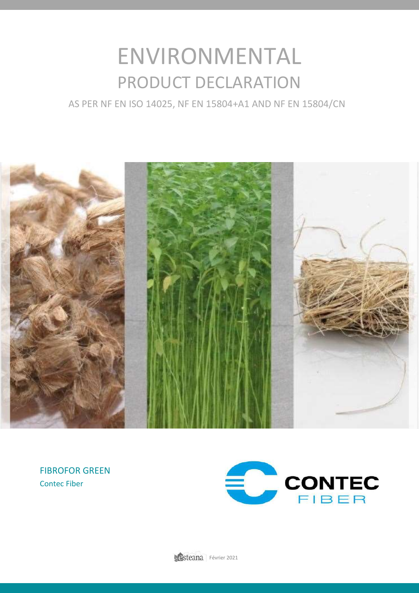# ENVIRONMENTAL PRODUCT DECLARATION

AS PER NF EN ISO 14025, NF EN 15804+A1 AND NF EN 15804/CN



FIBROFOR GREEN Contec Fiber

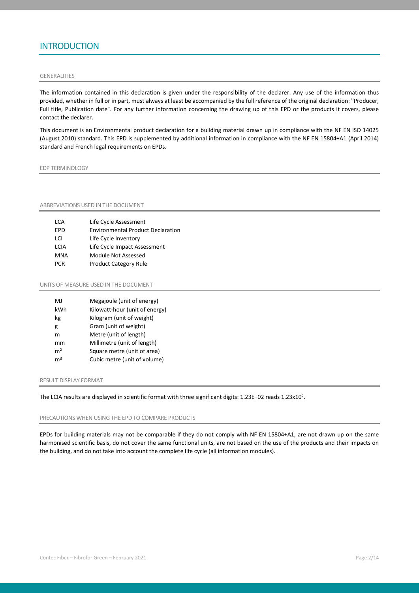## **INTRODUCTION**

#### GENERALITIES

The information contained in this declaration is given under the responsibility of the declarer. Any use of the information thus provided, whether in full or in part, must always at least be accompanied by the full reference of the original declaration: "Producer, Full title, Publication date". For any further information concerning the drawing up of this EPD or the products it covers, please contact the declarer.

This document is an Environmental product declaration for a building material drawn up in compliance with the NF EN ISO 14025 (August 2010) standard. This EPD is supplemented by additional information in compliance with the NF EN 15804+A1 (April 2014) standard and French legal requirements on EPDs.

EDP TERMINOLOGY

ABBREVIATIONS USED IN THE DOCUMENT

| LCA  | Life Cycle Assessment                    |
|------|------------------------------------------|
| FPD  | <b>Environmental Product Declaration</b> |
| I CI | Life Cycle Inventory                     |
| LCIA | Life Cycle Impact Assessment             |
| MNA  | Module Not Assessed                      |
| PCR  | <b>Product Category Rule</b>             |

UNITS OF MEASURE USED IN THE DOCUMENT

| M.             | Megajoule (unit of energy)     |
|----------------|--------------------------------|
| kWh            | Kilowatt-hour (unit of energy) |
| kg             | Kilogram (unit of weight)      |
| g              | Gram (unit of weight)          |
| m              | Metre (unit of length)         |
| mm             | Millimetre (unit of length)    |
| m <sup>2</sup> | Square metre (unit of area)    |
| m <sup>3</sup> | Cubic metre (unit of volume)   |
|                |                                |

#### RESULT DISPLAY FORMAT

The LCIA results are displayed in scientific format with three significant digits: 1.23E+02 reads 1.23x10<sup>2</sup>.

#### PRECAUTIONS WHEN USING THE EPD TO COMPARE PRODUCTS

EPDs for building materials may not be comparable if they do not comply with NF EN 15804+A1, are not drawn up on the same harmonised scientific basis, do not cover the same functional units, are not based on the use of the products and their impacts on the building, and do not take into account the complete life cycle (all information modules).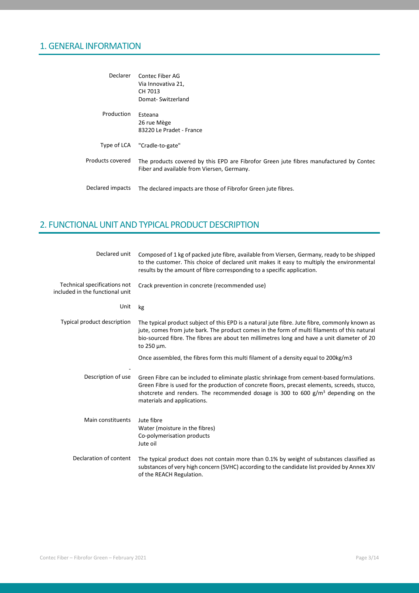## 1. GENERAL INFORMATION

| Declarer         | Contec Fiber AG<br>Via Innovativa 21,<br>CH 7013<br>Domat-Switzerland                                                                |
|------------------|--------------------------------------------------------------------------------------------------------------------------------------|
| Production       | Esteana<br>26 rue Mège<br>83220 Le Pradet - France                                                                                   |
| Type of LCA      | "Cradle-to-gate"                                                                                                                     |
| Products covered | The products covered by this EPD are Fibrofor Green jute fibres manufactured by Contec<br>Fiber and available from Viersen, Germany. |
| Declared impacts | The declared impacts are those of Fibrofor Green jute fibres.                                                                        |

## 2. FUNCTIONAL UNIT AND TYPICAL PRODUCT DESCRIPTION

| Declared unit                                                   | Composed of 1 kg of packed jute fibre, available from Viersen, Germany, ready to be shipped<br>to the customer. This choice of declared unit makes it easy to multiply the environmental<br>results by the amount of fibre corresponding to a specific application.                                               |
|-----------------------------------------------------------------|-------------------------------------------------------------------------------------------------------------------------------------------------------------------------------------------------------------------------------------------------------------------------------------------------------------------|
| Technical specifications not<br>included in the functional unit | Crack prevention in concrete (recommended use)                                                                                                                                                                                                                                                                    |
| Unit                                                            | kg                                                                                                                                                                                                                                                                                                                |
| Typical product description                                     | The typical product subject of this EPD is a natural jute fibre. Jute fibre, commonly known as<br>jute, comes from jute bark. The product comes in the form of multi filaments of this natural<br>bio-sourced fibre. The fibres are about ten millimetres long and have a unit diameter of 20<br>to 250 µm.       |
|                                                                 | Once assembled, the fibres form this multi filament of a density equal to 200kg/m3                                                                                                                                                                                                                                |
| Description of use                                              | Green Fibre can be included to eliminate plastic shrinkage from cement-based formulations.<br>Green Fibre is used for the production of concrete floors, precast elements, screeds, stucco,<br>shotcrete and renders. The recommended dosage is 300 to 600 $g/m3$ depending on the<br>materials and applications. |
| Main constituents                                               | Jute fibre<br>Water (moisture in the fibres)<br>Co-polymerisation products<br>Jute oil                                                                                                                                                                                                                            |
| Declaration of content                                          | The typical product does not contain more than 0.1% by weight of substances classified as<br>substances of very high concern (SVHC) according to the candidate list provided by Annex XIV<br>of the REACH Regulation.                                                                                             |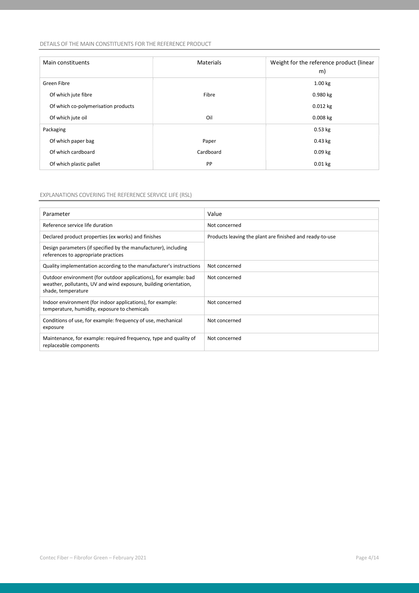#### DETAILS OF THE MAIN CONSTITUENTS FOR THE REFERENCE PRODUCT

| Main constituents                   | <b>Materials</b> | Weight for the reference product (linear<br>m) |
|-------------------------------------|------------------|------------------------------------------------|
| Green Fibre                         |                  | 1.00 kg                                        |
| Of which jute fibre                 | Fibre            | 0.980 kg                                       |
| Of which co-polymerisation products |                  | $0.012$ kg                                     |
| Of which jute oil                   | Oil              | $0.008$ kg                                     |
| Packaging                           |                  | $0.53$ kg                                      |
| Of which paper bag                  | Paper            | $0.43$ kg                                      |
| Of which cardboard                  | Cardboard        | $0.09$ kg                                      |
| Of which plastic pallet             | PP               | $0.01$ kg                                      |

#### EXPLANATIONS COVERING THE REFERENCE SERVICE LIFE (RSL)

| Parameter                                                                                                                                                  | Value                                                    |
|------------------------------------------------------------------------------------------------------------------------------------------------------------|----------------------------------------------------------|
| Reference service life duration                                                                                                                            | Not concerned                                            |
| Declared product properties (ex works) and finishes                                                                                                        | Products leaving the plant are finished and ready-to-use |
| Design parameters (if specified by the manufacturer), including<br>references to appropriate practices                                                     |                                                          |
| Quality implementation according to the manufacturer's instructions                                                                                        | Not concerned                                            |
| Outdoor environment (for outdoor applications), for example: bad<br>weather, pollutants, UV and wind exposure, building orientation,<br>shade, temperature | Not concerned                                            |
| Indoor environment (for indoor applications), for example:<br>temperature, humidity, exposure to chemicals                                                 | Not concerned                                            |
| Conditions of use, for example: frequency of use, mechanical<br>exposure                                                                                   | Not concerned                                            |
| Maintenance, for example: required frequency, type and quality of<br>replaceable components                                                                | Not concerned                                            |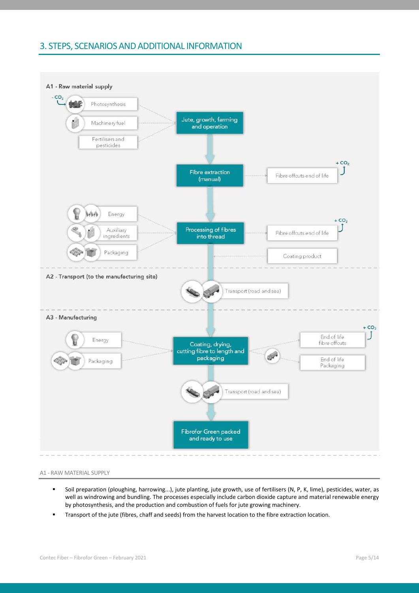### 3. STEPS, SCENARIOS AND ADDITIONAL INFORMATION





- Soil preparation (ploughing, harrowing...), jute planting, jute growth, use of fertilisers (N, P, K, lime), pesticides, water, as well as windrowing and bundling. The processes especially include carbon dioxide capture and material renewable energy by photosynthesis, and the production and combustion of fuels for jute growing machinery.
- Transport of the jute (fibres, chaff and seeds) from the harvest location to the fibre extraction location.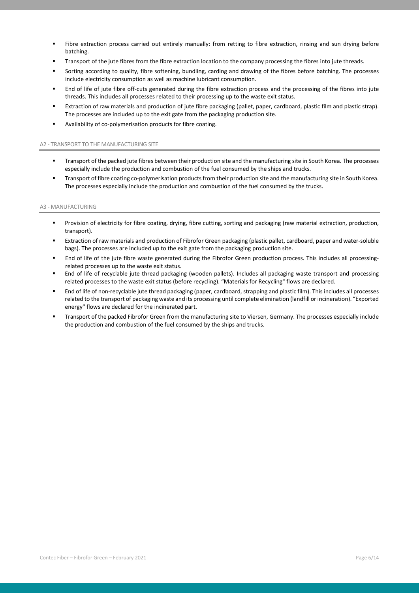- Fibre extraction process carried out entirely manually: from retting to fibre extraction, rinsing and sun drying before batching.
- Transport of the jute fibres from the fibre extraction location to the company processing the fibres into jute threads.
- Sorting according to quality, fibre softening, bundling, carding and drawing of the fibres before batching. The processes include electricity consumption as well as machine lubricant consumption.
- End of life of jute fibre off-cuts generated during the fibre extraction process and the processing of the fibres into jute threads. This includes all processes related to their processing up to the waste exit status.
- Extraction of raw materials and production of jute fibre packaging (pallet, paper, cardboard, plastic film and plastic strap). The processes are included up to the exit gate from the packaging production site.
- Availability of co-polymerisation products for fibre coating.

#### A2 - TRANSPORT TO THE MANUFACTURING SITE

- "Transport of the packed jute fibres between their production site and the manufacturing site in South Korea. The processes especially include the production and combustion of the fuel consumed by the ships and trucks.
- Transport of fibre coating co-polymerisation products from their production site and the manufacturing site in South Korea. The processes especially include the production and combustion of the fuel consumed by the trucks.

#### A3 - MANUFACTURING

- Provision of electricity for fibre coating, drying, fibre cutting, sorting and packaging (raw material extraction, production, transport).
- Extraction of raw materials and production of Fibrofor Green packaging (plastic pallet, cardboard, paper and water-soluble bags). The processes are included up to the exit gate from the packaging production site.
- End of life of the jute fibre waste generated during the Fibrofor Green production process. This includes all processingrelated processes up to the waste exit status.
- End of life of recyclable jute thread packaging (wooden pallets). Includes all packaging waste transport and processing related processes to the waste exit status (before recycling). "Materials for Recycling" flows are declared.
- End of life of non-recyclable jute thread packaging (paper, cardboard, strapping and plastic film). This includes all processes related to the transport of packaging waste and its processing until complete elimination (landfill or incineration). "Exported energy" flows are declared for the incinerated part.
- Transport of the packed Fibrofor Green from the manufacturing site to Viersen, Germany. The processes especially include the production and combustion of the fuel consumed by the ships and trucks.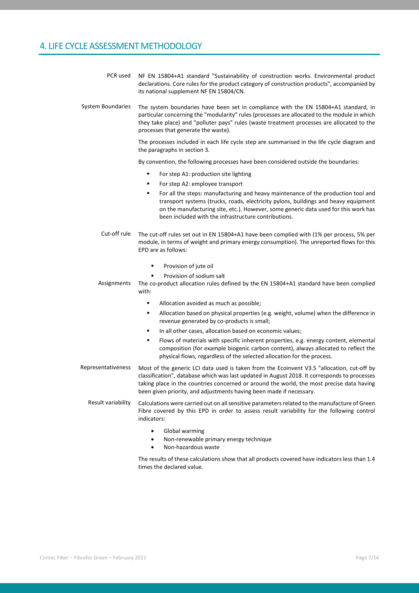# 4. LIFE CYCLE ASSESSMENT METHODOLOGY

| PCR used           | NF EN 15804+A1 standard "Sustainability of construction works. Environmental product<br>declarations. Core rules for the product category of construction products", accompanied by<br>its national supplement NF EN 15804/CN.                                                                                                                                 |
|--------------------|----------------------------------------------------------------------------------------------------------------------------------------------------------------------------------------------------------------------------------------------------------------------------------------------------------------------------------------------------------------|
| System Boundaries  | The system boundaries have been set in compliance with the EN 15804+A1 standard, in<br>particular concerning the "modularity" rules (processes are allocated to the module in which<br>they take place) and "polluter pays" rules (waste treatment processes are allocated to the<br>processes that generate the waste).                                       |
|                    | The processes included in each life cycle step are summarised in the life cycle diagram and<br>the paragraphs in section 3.                                                                                                                                                                                                                                    |
|                    | By convention, the following processes have been considered outside the boundaries:                                                                                                                                                                                                                                                                            |
|                    | ٠<br>For step A1: production site lighting                                                                                                                                                                                                                                                                                                                     |
|                    | For step A2: employee transport<br>٠                                                                                                                                                                                                                                                                                                                           |
|                    | For all the steps: manufacturing and heavy maintenance of the production tool and<br>٠<br>transport systems (trucks, roads, electricity pylons, buildings and heavy equipment<br>on the manufacturing site, etc.). However, some generic data used for this work has<br>been included with the infrastructure contributions.                                   |
| Cut-off rule       | The cut-off rules set out in EN 15804+A1 have been complied with (1% per process, 5% per<br>module, in terms of weight and primary energy consumption). The unreported flows for this<br>EPD are as follows:                                                                                                                                                   |
|                    | Provision of jute oil<br>٠                                                                                                                                                                                                                                                                                                                                     |
| Assignments        | Provision of sodium salt<br>٠<br>The co-product allocation rules defined by the EN 15804+A1 standard have been complied<br>with:                                                                                                                                                                                                                               |
|                    | Allocation avoided as much as possible;<br>٠                                                                                                                                                                                                                                                                                                                   |
|                    | Allocation based on physical properties (e.g. weight, volume) when the difference in<br>٠<br>revenue generated by co-products is small;                                                                                                                                                                                                                        |
|                    | In all other cases, allocation based on economic values;<br>٠                                                                                                                                                                                                                                                                                                  |
|                    | Flows of materials with specific inherent properties, e.g. energy content, elemental<br>٠<br>composition (for example biogenic carbon content), always allocated to reflect the<br>physical flows, regardless of the selected allocation for the process.                                                                                                      |
| Representativeness | Most of the generic LCI data used is taken from the Ecoinvent V3.5 "allocation, cut-off by<br>classification", database which was last updated in August 2018. It corresponds to processes<br>taking place in the countries concerned or around the world, the most precise data having<br>been given priority, and adjustments having been made if necessary. |
| Result variability | Calculations were carried out on all sensitive parameters related to the manufacture of Green<br>Fibre covered by this EPD in order to assess result variability for the following control<br>indicators:                                                                                                                                                      |
|                    | Global warming<br>$\bullet$<br>Non-renewable primary energy technique<br>$\bullet$<br>Non-hazardous waste<br>$\bullet$                                                                                                                                                                                                                                         |
|                    | The results of these calculations show that all products covered have indicators less than 1.4<br>times the declared value.                                                                                                                                                                                                                                    |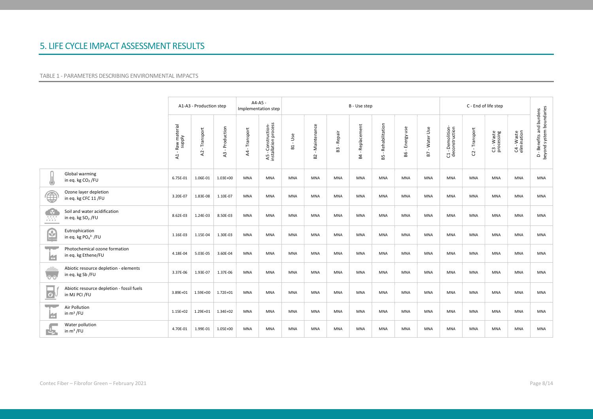## 5. LIFE CYCLE IMPACT ASSESSMENT RESULTS

#### TABLE 1 - PARAMETERS DESCRIBING ENVIRONMENTAL IMPACTS

|                     |                                                               |                                       | A1-A3 - Production step |                              | Implementation step           | A4-A5 -                                    |                        |                                         |                                          | B - Use step                  |                                      |                                     |                   |                                    |                  |                          |                           |                                                      |
|---------------------|---------------------------------------------------------------|---------------------------------------|-------------------------|------------------------------|-------------------------------|--------------------------------------------|------------------------|-----------------------------------------|------------------------------------------|-------------------------------|--------------------------------------|-------------------------------------|-------------------|------------------------------------|------------------|--------------------------|---------------------------|------------------------------------------------------|
|                     |                                                               | Raw material<br>supply<br>$\lambda$ 1 | Transport<br>$\lambda$  | Production<br>$\overline{A}$ | - Transport<br>$\overline{A}$ | A5 - Construction-<br>installation process | Use<br>$\sim$<br>$\Xi$ | Maintenance<br>$\sim$<br>B <sub>2</sub> | Repair<br>$\mathbf{r}$<br>B <sub>3</sub> | Replacement<br>B <sub>4</sub> | Rehabilitation<br>$\mathbf{r}$<br>B5 | use<br>Energy<br>$\mathbf{I}$<br>86 | - Water Use<br>B7 | C1 - Demolition-<br>deconstruction | - Transport<br>S | C3 - Waste<br>processing | C4 - Waste<br>elimination | D - Benefits and burdens<br>beyond system boundaries |
| ⑥                   | Global warming<br>in eq. kg CO <sub>2</sub> /FU               | 6.75E-01                              | 1.06E-01                | $1.03E + 00$                 | MNA                           | MNA                                        | MNA                    | MNA                                     | MNA                                      | MNA                           | MNA                                  | MNA                                 | MNA               | MNA                                | MNA              | MNA                      | MNA                       | MNA                                                  |
| ⊕                   | Ozone layer depletion<br>in eq. kg CFC 11/FU                  | 3.20E-07                              | 1.83E-08                | 1.10E-07                     | <b>MNA</b>                    | <b>MNA</b>                                 | <b>MNA</b>             | <b>MNA</b>                              | <b>MNA</b>                               | <b>MNA</b>                    | <b>MNA</b>                           | <b>MNA</b>                          | <b>MNA</b>        | <b>MNA</b>                         | <b>MNA</b>       | <b>MNA</b>               | <b>MNA</b>                | <b>MNA</b>                                           |
| - 93<br>333         | Soil and water acidification<br>in eq. kg SO <sub>2</sub> /FU | 8.62E-03                              | 1.24E-03                | 8.50E-03                     | <b>MNA</b>                    | <b>MNA</b>                                 | <b>MNA</b>             | <b>MNA</b>                              | <b>MNA</b>                               | <b>MNA</b>                    | <b>MNA</b>                           | <b>MNA</b>                          | <b>MNA</b>        | <b>MNA</b>                         | <b>MNA</b>       | <b>MNA</b>               | <b>MNA</b>                | <b>MNA</b>                                           |
| ఆ                   | Eutrophication<br>in eq. kg $PO43$ /FU                        | 1.16E-03                              | 1.15E-04                | 1.30E-03                     | <b>MNA</b>                    | MNA                                        | <b>MNA</b>             | <b>MNA</b>                              | MNA                                      | <b>MNA</b>                    | <b>MNA</b>                           | <b>MNA</b>                          | <b>MNA</b>        | <b>MNA</b>                         | MNA              | <b>MNA</b>               | <b>MNA</b>                | MNA                                                  |
| 5500<br>ш           | Photochemical ozone formation<br>in eq. kg Ethene/FU          | 4.18E-04                              | 5.03E-05                | 3.60E-04                     | <b>MNA</b>                    | <b>MNA</b>                                 | <b>MNA</b>             | <b>MNA</b>                              | <b>MNA</b>                               | MNA                           | <b>MNA</b>                           | <b>MNA</b>                          | MNA               | MNA                                | <b>MNA</b>       | MNA                      | <b>MNA</b>                | MNA                                                  |
| $\overline{\circ}$  | Abiotic resource depletion - elements<br>in eq. kg Sb /FU     | 3.37E-06                              | 1.93E-07                | 1.37E-06                     | <b>MNA</b>                    | <b>MNA</b>                                 | <b>MNA</b>             | <b>MNA</b>                              | <b>MNA</b>                               | MNA                           | <b>MNA</b>                           | <b>MNA</b>                          | <b>MNA</b>        | <b>MNA</b>                         | <b>MNA</b>       | MNA                      | <b>MNA</b>                | <b>MNA</b>                                           |
| $\circ$             | Abiotic resource depletion - fossil fuels<br>in MJ PCI /FU    | 3.89E+01                              | 1.59E+00                | $1.72E + 01$                 | <b>MNA</b>                    | <b>MNA</b>                                 | <b>MNA</b>             | <b>MNA</b>                              | <b>MNA</b>                               | <b>MNA</b>                    | <b>MNA</b>                           | <b>MNA</b>                          | <b>MNA</b>        | <b>MNA</b>                         | <b>MNA</b>       | <b>MNA</b>               | <b>MNA</b>                | <b>MNA</b>                                           |
| <b>Windows</b><br>ю | Air Pollution<br>in $m^3$ /FU                                 | $1.15E + 02$                          | 1.29E+01                | $1.34E + 02$                 | <b>MNA</b>                    | <b>MNA</b>                                 | <b>MNA</b>             | <b>MNA</b>                              | <b>MNA</b>                               | MNA                           | <b>MNA</b>                           | <b>MNA</b>                          | <b>MNA</b>        | <b>MNA</b>                         | <b>MNA</b>       | MNA                      | <b>MNA</b>                | <b>MNA</b>                                           |
| ĽB                  | Water pollution<br>in $m^3$ /FU                               | 4.70E-01                              | 1.99E-01                | 1.05E+00                     | <b>MNA</b>                    | MNA                                        | <b>MNA</b>             | <b>MNA</b>                              | <b>MNA</b>                               | MNA                           | <b>MNA</b>                           | <b>MNA</b>                          | MNA               | MNA                                | <b>MNA</b>       | MNA                      | <b>MNA</b>                | <b>MNA</b>                                           |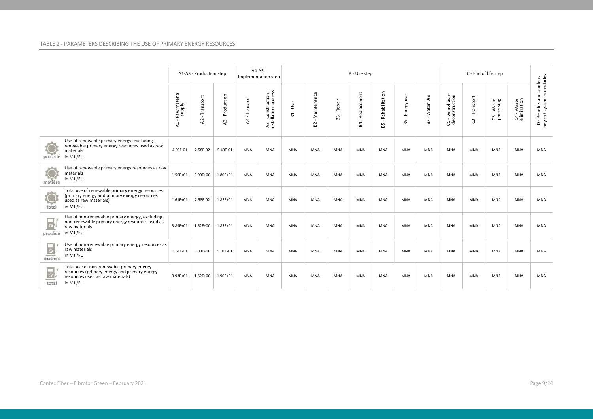|                                                                                                                                                                           |                                                  | A1-A3 - Production step     |                                              |                               | $A4-A5 -$<br>Implementation step           |                                       |                                    |                                          | B - Use step      |                        |                                                 |                   |                                    |                  |                          |                           |                                                      |
|---------------------------------------------------------------------------------------------------------------------------------------------------------------------------|--------------------------------------------------|-----------------------------|----------------------------------------------|-------------------------------|--------------------------------------------|---------------------------------------|------------------------------------|------------------------------------------|-------------------|------------------------|-------------------------------------------------|-------------------|------------------------------------|------------------|--------------------------|---------------------------|------------------------------------------------------|
|                                                                                                                                                                           | Raw material<br>supply<br>- 11<br>$\overline{A}$ | Transport<br>$\overline{a}$ | Production<br>$\mathbf{I}$<br>$\overline{a}$ | - Transport<br>$\overline{A}$ | A5 - Construction-<br>installation process | Use<br>$\mathbf{I}$<br>$\overline{a}$ | Maintenance<br>$\mathcal{A}$<br>B2 | Repair<br>$\overline{\phantom{a}}$<br>63 | Replacement<br>P4 | - Rehabilitation<br>85 | use<br>Energy<br>$\overline{\phantom{a}}$<br>B6 | - Water Use<br>B7 | C1 - Demolition-<br>deconstruction | - Transport<br>G | C3 - Waste<br>processing | C4 - Waste<br>elimination | D - Benefits and burdens<br>beyond system boundaries |
| Use of renewable primary energy, excluding<br>renewable primary energy resources used as raw<br>materials<br>procédé in MJ /FU                                            | 4.96E-01                                         | 2.58E-02                    | 5.49E-01                                     | MNA                           | <b>MNA</b>                                 | <b>MNA</b>                            | <b>MNA</b>                         | <b>MNA</b>                               | <b>MNA</b>        | <b>MNA</b>             | <b>MNA</b>                                      | <b>MNA</b>        | <b>MNA</b>                         | <b>MNA</b>       | <b>MNA</b>               | <b>MNA</b>                | <b>MNA</b>                                           |
| Use of renewable primary energy resources as raw<br>materials<br>matière<br>in MJ /FU                                                                                     | 1.56E+01                                         | $0.00E + 00$                | 1.80E+01                                     | <b>MNA</b>                    | <b>MNA</b>                                 | <b>MNA</b>                            | <b>MNA</b>                         | <b>MNA</b>                               | <b>MNA</b>        | <b>MNA</b>             | <b>MNA</b>                                      | <b>MNA</b>        | <b>MNA</b>                         | <b>MNA</b>       | <b>MNA</b>               | <b>MNA</b>                | MNA                                                  |
| Total use of renewable primary energy resources<br>(primary energy and primary energy resources<br>Q<br>used as raw materials)<br>in MJ /FU<br>total                      | $1.61E + 01$                                     | 2.58E-02                    | 1.85E+01                                     | <b>MNA</b>                    | <b>MNA</b>                                 | <b>MNA</b>                            | <b>MNA</b>                         | <b>MNA</b>                               | <b>MNA</b>        | <b>MNA</b>             | <b>MNA</b>                                      | <b>MNA</b>        | <b>MNA</b>                         | <b>MNA</b>       | <b>MNA</b>               | <b>MNA</b>                | <b>MNA</b>                                           |
| Use of non-renewable primary energy, excluding<br>$\overline{\bullet}$<br>non-renewable primary energy resources used as<br>raw materials<br>in MJ /FU<br>procédé         | 3.89E+01                                         | $1.62E + 00$                | 1.85E+01                                     | <b>MNA</b>                    | <b>MNA</b>                                 | <b>MNA</b>                            | <b>MNA</b>                         | <b>MNA</b>                               | <b>MNA</b>        | <b>MNA</b>             | <b>MNA</b>                                      | <b>MNA</b>        | <b>MNA</b>                         | <b>MNA</b>       | <b>MNA</b>               | <b>MNA</b>                | <b>MNA</b>                                           |
| Use of non-renewable primary energy resources as<br>$\frac{1}{\omega}$<br>raw materials<br>in MJ /FU                                                                      | 3.64E-01                                         | $0.00E + 00$                | 5.01E-01                                     | MNA                           | <b>MNA</b>                                 | <b>MNA</b>                            | <b>MNA</b>                         | <b>MNA</b>                               | <b>MNA</b>        | <b>MNA</b>             | <b>MNA</b>                                      | <b>MNA</b>        | <b>MNA</b>                         | <b>MNA</b>       | MNA                      | <b>MNA</b>                | <b>MNA</b>                                           |
| Total use of non-renewable primary energy<br>resources (primary energy and primary energy<br>$\overline{\circ}$<br>resources used as raw materials)<br>in MJ /FU<br>total | 3.93E+01                                         | $1.62E + 00$                | 1.90E+01                                     | <b>MNA</b>                    | <b>MNA</b>                                 | <b>MNA</b>                            | <b>MNA</b>                         | <b>MNA</b>                               | <b>MNA</b>        | <b>MNA</b>             | <b>MNA</b>                                      | <b>MNA</b>        | <b>MNA</b>                         | <b>MNA</b>       | <b>MNA</b>               | <b>MNA</b>                | <b>MNA</b>                                           |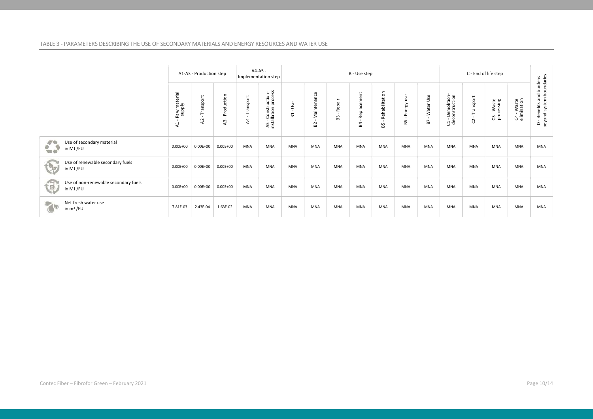#### TABLE 3 - PARAMETERS DESCRIBING THE USE OF SECONDARY MATERIALS AND ENERGY RESOURCES AND WATER USE

|                                                            |                                          | A1-A3 - Production step        |                  |                                             | $A4-A5 -$<br>Implementation step          |                                |                              |              | B - Use step                |                                      |                     |                   |                                    |                |                          |                             |                                                      |
|------------------------------------------------------------|------------------------------------------|--------------------------------|------------------|---------------------------------------------|-------------------------------------------|--------------------------------|------------------------------|--------------|-----------------------------|--------------------------------------|---------------------|-------------------|------------------------------------|----------------|--------------------------|-----------------------------|------------------------------------------------------|
|                                                            | Raw material<br>supply<br>$\overline{A}$ | Transport<br>- 11<br>$\lambda$ | Production<br>A3 | Transport<br>$\mathbf{I}$<br>A <sub>4</sub> | A5 - Construction-<br>nstallation process | Use<br>$\blacksquare$<br>$\Xi$ | - Maintenance<br>$_{\rm B2}$ | Repair<br>B3 | Replacement<br>$\mathbf{g}$ | Rehabilitation<br>$\mathbf{L}$<br>85 | use<br>Energy<br>98 | - Water Use<br>B7 | C1 - Demolition-<br>deconstruction | Transport<br>S | C3 - Waste<br>processing | $CA - Waste$<br>elimination | D - Benefits and burdens<br>beyond system boundaries |
| $\ddot{\bullet}$<br>Use of secondary material<br>in MJ /FU | $0.00E + 00$                             | $0.00E + 00$                   | $0.00E + 00$     | <b>MNA</b>                                  | <b>MNA</b>                                | <b>MNA</b>                     | <b>MNA</b>                   | <b>MNA</b>   | <b>MNA</b>                  | MNA                                  | <b>MNA</b>          | <b>MNA</b>        | <b>MNA</b>                         | <b>MNA</b>     | MNA                      | <b>MNA</b>                  | <b>MNA</b>                                           |
| Use of renewable secondary fuels<br>G<br>in MJ /FU         | $0.00E + 00$                             | $0.00E + 00$                   | $0.00E + 00$     | <b>MNA</b>                                  | <b>MNA</b>                                | <b>MNA</b>                     | <b>MNA</b>                   | <b>MNA</b>   | MNA                         | MNA                                  | <b>MNA</b>          | <b>MNA</b>        | <b>MNA</b>                         | <b>MNA</b>     | MNA                      | <b>MNA</b>                  | <b>MNA</b>                                           |
| Use of non-renewable secondary fuels<br>包<br>in MJ /FU     | $0.00E + 00$                             | $0.00E + 00$                   | $0.00E + 00$     | <b>MNA</b>                                  | <b>MNA</b>                                | <b>MNA</b>                     | <b>MNA</b>                   | <b>MNA</b>   | MNA                         | MNA                                  | <b>MNA</b>          | <b>MNA</b>        | <b>MNA</b>                         | <b>MNA</b>     | MNA                      | <b>MNA</b>                  | <b>MNA</b>                                           |
| Net fresh water use<br>$\gamma$<br>in $m^3$ /FU            | 7.81E-03                                 | 2.43E-04                       | 1.63E-02         | <b>MNA</b>                                  | <b>MNA</b>                                | <b>MNA</b>                     | <b>MNA</b>                   | <b>MNA</b>   | <b>MNA</b>                  | <b>MNA</b>                           | <b>MNA</b>          | <b>MNA</b>        | <b>MNA</b>                         | <b>MNA</b>     | <b>MNA</b>               | <b>MNA</b>                  | <b>MNA</b>                                           |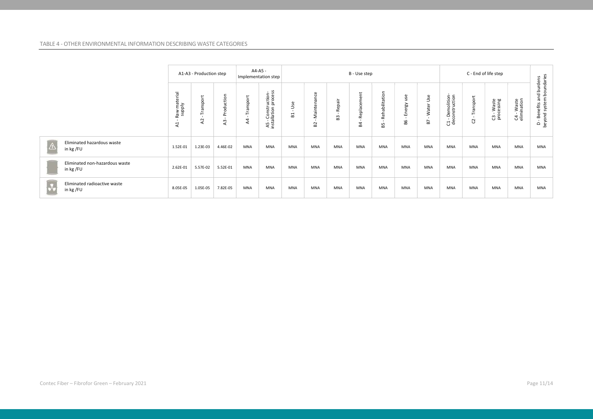#### TABLE 4 - OTHER ENVIRONMENTAL INFORMATION DESCRIBING WASTE CATEGORIES

|                |                                             |                                       | A1-A3 - Production step     |                             |                             | A4-A5 -<br>C - End of life step<br>B - Use step<br>Implementation step |                                                 |                                               |              |                           |                      |                     |                    |                                                      |                |                          |                             |                                                         |
|----------------|---------------------------------------------|---------------------------------------|-----------------------------|-----------------------------|-----------------------------|------------------------------------------------------------------------|-------------------------------------------------|-----------------------------------------------|--------------|---------------------------|----------------------|---------------------|--------------------|------------------------------------------------------|----------------|--------------------------|-----------------------------|---------------------------------------------------------|
|                |                                             | Raw material<br>supply<br>$\lambda$ 1 | Transport<br>$\overline{a}$ | uction<br>ъo<br>$\sim$<br>2 | Transport<br>$\overline{4}$ | A5 - Construction-<br>installation process                             | ္တစ္<br>$\supset$<br>$\blacksquare$<br>$\infty$ | Maintenance<br>$\mathbf{r}$<br>B <sub>2</sub> | Repair<br>R3 | ent<br>놂<br>Replace<br>54 | Rehabilitation<br>59 | use<br>Energy<br>98 | Use<br>Water<br>B7 | Demolition-<br>construction<br>$\frac{1}{\text{de}}$ | Transport<br>G | C3 - Waste<br>processing | $CA - Waste$<br>elimination | - Benefits and burdens<br>yond system boundaries<br>ு இ |
| $ \mathbb{A} $ | Eliminated hazardous waste<br>in kg /FU     | 1.52E-01                              | 1.23E-03                    | 4.46E-02                    | <b>MNA</b>                  | <b>MNA</b>                                                             | <b>MNA</b>                                      | <b>MNA</b>                                    | <b>MNA</b>   | <b>MNA</b>                | <b>MNA</b>           | <b>MNA</b>          | <b>MNA</b>         | <b>MNA</b>                                           | <b>MNA</b>     | MNA                      | MNA                         | <b>MNA</b>                                              |
|                | Eliminated non-hazardous waste<br>in kg /FU | 2.62E-01                              | 5.57E-02                    | 5.52E-01                    | <b>MNA</b>                  | <b>MNA</b>                                                             | <b>MNA</b>                                      | <b>MNA</b>                                    | <b>MNA</b>   | <b>MNA</b>                | <b>MNA</b>           | <b>MNA</b>          | <b>MNA</b>         | <b>MNA</b>                                           | <b>MNA</b>     | MNA                      | <b>MNA</b>                  | <b>MNA</b>                                              |
| $\sqrt{2}$     | Eliminated radioactive waste<br>in kg /FU   | 8.05E-05                              | 1.05E-05                    | 7.82E-05                    | <b>MNA</b>                  | <b>MNA</b>                                                             | MNA                                             | MNA                                           | <b>MNA</b>   | <b>MNA</b>                | <b>MNA</b>           | <b>MNA</b>          | MNA                | MNA                                                  | <b>MNA</b>     | MNA                      | MNA                         | <b>MNA</b>                                              |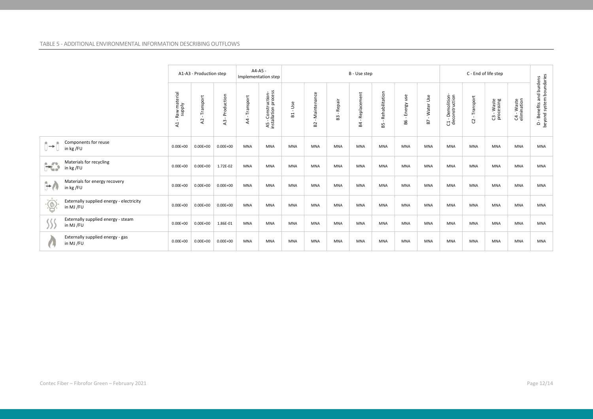|                                                                      |                                          |                                          | A1-A3 - Production step  |                           |                               | A4-A5 -<br>Implementation step             |                                |                                             |                                | B - Use step      |                                      |                                     |                                 |                                    |                 |                          |                           |                                                      |
|----------------------------------------------------------------------|------------------------------------------|------------------------------------------|--------------------------|---------------------------|-------------------------------|--------------------------------------------|--------------------------------|---------------------------------------------|--------------------------------|-------------------|--------------------------------------|-------------------------------------|---------------------------------|------------------------------------|-----------------|--------------------------|---------------------------|------------------------------------------------------|
|                                                                      |                                          | Raw material<br>supply<br>$\overline{a}$ | Transport<br>$_{\rm A2}$ | Production<br>$\,$ m<br>⋖ | - Transport<br>$\overline{A}$ | A5 - Construction-<br>installation process | Use<br>$\mathbf{r}$<br>$E_{1}$ | Maintenance<br>$\mathbf{u}$<br>$\mathbf{S}$ | Repair<br>$\blacksquare$<br>33 | Replacement<br>54 | Rehabilitation<br>$\mathbf{u}$<br>65 | use<br>Energy<br>$\mathbf{r}$<br>98 | Water Use<br>$\mathbf{r}$<br>B7 | C1 - Demolition-<br>deconstruction | Transport<br>S. | C3 - Waste<br>processing | C4 - Waste<br>elimination | D - Benefits and burdens<br>beyond system boundaries |
| $\rightarrow$<br>in kg /FU                                           | Components for reuse                     | $0.00E + 00$                             | $0.00E + 00$             | $0.00E + 00$              | <b>MNA</b>                    | <b>MNA</b>                                 | <b>MNA</b>                     | <b>MNA</b>                                  | <b>MNA</b>                     | MNA               | <b>MNA</b>                           | <b>MNA</b>                          | <b>MNA</b>                      | <b>MNA</b>                         | <b>MNA</b>      | <b>MNA</b>               | <b>MNA</b>                | <b>MNA</b>                                           |
| $\mathcal{H}_{\mathcal{A}}^{\mathcal{P}_{\mathcal{B}}}$<br>in kg /FU | Materials for recycling                  | $0.00E + 00$                             | $0.00E + 00$             | 1.72E-02                  | MNA                           | <b>MNA</b>                                 | <b>MNA</b>                     | <b>MNA</b>                                  | <b>MNA</b>                     | <b>MNA</b>        | <b>MNA</b>                           | <b>MNA</b>                          | <b>MNA</b>                      | <b>MNA</b>                         | <b>MNA</b>      | <b>MNA</b>               | <b>MNA</b>                | <b>MNA</b>                                           |
| $\rightarrow$<br>in kg /FU                                           | Materials for energy recovery            | $0.00E + 00$                             | $0.00E + 00$             | $0.00E + 00$              | <b>MNA</b>                    | <b>MNA</b>                                 | <b>MNA</b>                     | <b>MNA</b>                                  | <b>MNA</b>                     | MNA               | <b>MNA</b>                           | <b>MNA</b>                          | <b>MNA</b>                      | <b>MNA</b>                         | <b>MNA</b>      | <b>MNA</b>               | MNA                       | <b>MNA</b>                                           |
| $\overline{\circ}$<br>in MJ /FU                                      | Externally supplied energy - electricity | $0.00E + 00$                             | $0.00E + 00$             | $0.00E + 00$              | <b>MNA</b>                    | <b>MNA</b>                                 | <b>MNA</b>                     | MNA                                         | <b>MNA</b>                     | MNA               | <b>MNA</b>                           | <b>MNA</b>                          | MNA                             | <b>MNA</b>                         | <b>MNA</b>      | MNA                      | <b>MNA</b>                | MNA                                                  |
| in MJ /FU                                                            | Externally supplied energy - steam       | $0.00E + 00$                             | $0.00E + 00$             | 1.86E-01                  | MNA                           | <b>MNA</b>                                 | <b>MNA</b>                     | MNA                                         | <b>MNA</b>                     | MNA               | MNA                                  | <b>MNA</b>                          | MNA                             | <b>MNA</b>                         | <b>MNA</b>      | MNA                      | <b>MNA</b>                | MNA                                                  |
| in MJ /FU                                                            | Externally supplied energy - gas         | $0.00E + 00$                             | $0.00E + 00$             | $0.00E + 00$              | <b>MNA</b>                    | <b>MNA</b>                                 | <b>MNA</b>                     | MNA                                         | <b>MNA</b>                     | MNA               | MNA                                  | <b>MNA</b>                          | MNA                             | <b>MNA</b>                         | <b>MNA</b>      | MNA                      | <b>MNA</b>                | <b>MNA</b>                                           |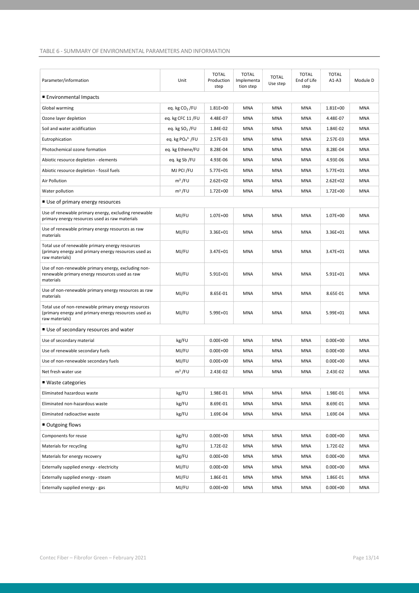#### TABLE 6 - SUMMARY OF ENVIRONMENTAL PARAMETERS AND INFORMATION

| Parameter/information                                                                                                         | Unit              | <b>TOTAL</b><br>Production<br>step | <b>TOTAL</b><br>Implementa<br>tion step | <b>TOTAL</b><br>Use step | <b>TOTAL</b><br>End of Life<br>step | <b>TOTAL</b><br>$A1-A3$ | Module D   |
|-------------------------------------------------------------------------------------------------------------------------------|-------------------|------------------------------------|-----------------------------------------|--------------------------|-------------------------------------|-------------------------|------------|
| ■ Environmental Impacts                                                                                                       |                   |                                    |                                         |                          |                                     |                         |            |
| Global warming                                                                                                                | eq. kg $CO2$ /FU  | 1.81E+00                           | MNA                                     | <b>MNA</b>               | <b>MNA</b>                          | 1.81E+00                | <b>MNA</b> |
| Ozone layer depletion                                                                                                         | eq. kg CFC 11/FU  | 4.48E-07                           | <b>MNA</b>                              | <b>MNA</b>               | <b>MNA</b>                          | 4.48E-07                | <b>MNA</b> |
| Soil and water acidification                                                                                                  | eq. kg $SO2$ /FU  | 1.84E-02                           | <b>MNA</b>                              | <b>MNA</b>               | <b>MNA</b>                          | 1.84E-02                | <b>MNA</b> |
| Eutrophication                                                                                                                | eq. kg $PO43$ /FU | 2.57E-03                           | MNA                                     | MNA                      | MNA                                 | 2.57E-03                | <b>MNA</b> |
| Photochemical ozone formation                                                                                                 | eq. kg Ethene/FU  | 8.28E-04                           | MNA                                     | MNA                      | MNA                                 | 8.28E-04                | <b>MNA</b> |
| Abiotic resource depletion - elements                                                                                         | eq. kg Sb /FU     | 4.93E-06                           | MNA                                     | MNA                      | MNA                                 | 4.93E-06                | <b>MNA</b> |
| Abiotic resource depletion - fossil fuels                                                                                     | MJ PCI /FU        | 5.77E+01                           | MNA                                     | <b>MNA</b>               | <b>MNA</b>                          | 5.77E+01                | MNA        |
| Air Pollution                                                                                                                 | $m3$ /FU          | $2.62E + 02$                       | MNA                                     | <b>MNA</b>               | MNA                                 | $2.62E + 02$            | MNA        |
| Water pollution                                                                                                               | $m3$ /FU          | $1.72E + 00$                       | MNA                                     | <b>MNA</b>               | MNA                                 | 1.72E+00                | <b>MNA</b> |
| ■ Use of primary energy resources                                                                                             |                   |                                    |                                         |                          |                                     |                         |            |
| Use of renewable primary energy, excluding renewable<br>primary energy resources used as raw materials                        | MJ/FU             | 1.07E+00                           | <b>MNA</b>                              | <b>MNA</b>               | <b>MNA</b>                          | $1.07E + 00$            | <b>MNA</b> |
| Use of renewable primary energy resources as raw<br>materials                                                                 | MJ/FU             | 3.36E+01                           | MNA                                     | MNA                      | MNA                                 | 3.36E+01                | <b>MNA</b> |
| Total use of renewable primary energy resources<br>(primary energy and primary energy resources used as<br>raw materials)     | MJ/FU             | 3.47E+01                           | <b>MNA</b>                              | <b>MNA</b>               | <b>MNA</b>                          | 3.47E+01                | <b>MNA</b> |
| Use of non-renewable primary energy, excluding non-<br>renewable primary energy resources used as raw<br>materials            | MJ/FU             | $5.91E+01$                         | MNA                                     | MNA                      | MNA                                 | $5.91E + 01$            | <b>MNA</b> |
| Use of non-renewable primary energy resources as raw<br>materials                                                             | MJ/FU             | 8.65E-01                           | <b>MNA</b>                              | <b>MNA</b>               | MNA                                 | 8.65E-01                | <b>MNA</b> |
| Total use of non-renewable primary energy resources<br>(primary energy and primary energy resources used as<br>raw materials) | MJ/FU             | 5.99E+01                           | <b>MNA</b>                              | <b>MNA</b>               | <b>MNA</b>                          | 5.99E+01                | <b>MNA</b> |
| ■ Use of secondary resources and water                                                                                        |                   |                                    |                                         |                          |                                     |                         |            |
| Use of secondary material                                                                                                     | kg/FU             | $0.00E + 00$                       | MNA                                     | <b>MNA</b>               | <b>MNA</b>                          | $0.00E + 00$            | <b>MNA</b> |
| Use of renewable secondary fuels                                                                                              | MJ/FU             | $0.00E + 00$                       | <b>MNA</b>                              | <b>MNA</b>               | <b>MNA</b>                          | $0.00E + 00$            | MNA        |
| Use of non-renewable secondary fuels                                                                                          | MJ/FU             | $0.00E + 00$                       | <b>MNA</b>                              | <b>MNA</b>               | MNA                                 | $0.00E + 00$            | <b>MNA</b> |
| Net fresh water use                                                                                                           | $m3$ /FU          | 2.43E-02                           | MNA                                     | <b>MNA</b>               | <b>MNA</b>                          | 2.43E-02                | <b>MNA</b> |
| $\blacksquare$ Waste categories                                                                                               |                   |                                    |                                         |                          |                                     |                         |            |
| Eliminated hazardous waste                                                                                                    | kg/FU             | 1.98E-01                           | <b>MNA</b>                              | <b>MNA</b>               | <b>MNA</b>                          | 1.98E-01                | MNA        |
| Eliminated non-hazardous waste                                                                                                | kg/FU             | 8.69E-01                           | MNA                                     | MNA                      | MNA                                 | 8.69E-01                | MNA        |
| Eliminated radioactive waste                                                                                                  | kg/FU             | 1.69E-04                           | MNA                                     | MNA                      | MNA                                 | 1.69E-04                | MNA        |
| ■ Outgoing flows                                                                                                              |                   |                                    |                                         |                          |                                     |                         |            |
| Components for reuse                                                                                                          | kg/FU             | $0.00E + 00$                       | <b>MNA</b>                              | <b>MNA</b>               | <b>MNA</b>                          | $0.00E + 00$            | MNA        |
| Materials for recycling                                                                                                       | kg/FU             | 1.72E-02                           | MNA                                     | MNA                      | MNA                                 | 1.72E-02                | MNA        |
| Materials for energy recovery                                                                                                 | kg/FU             | $0.00E + 00$                       | MNA                                     | <b>MNA</b>               | <b>MNA</b>                          | $0.00E + 00$            | MNA        |
| Externally supplied energy - electricity                                                                                      | MJ/FU             | $0.00E + 00$                       | MNA                                     | MNA                      | MNA                                 | $0.00E + 00$            | MNA        |
| Externally supplied energy - steam                                                                                            | MJ/FU             | 1.86E-01                           | MNA                                     | MNA                      | MNA                                 | 1.86E-01                | MNA        |
| Externally supplied energy - gas                                                                                              | MJ/FU             | $0.00E + 00$                       | MNA                                     | MNA                      | MNA                                 | $0.00E + 00$            | MNA        |